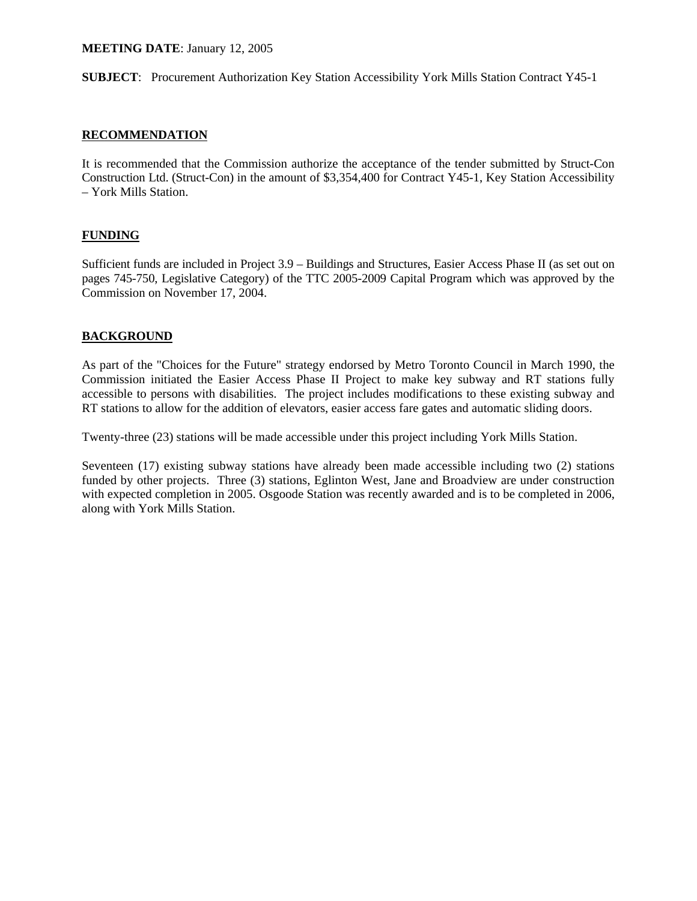#### **MEETING DATE**: January 12, 2005

**SUBJECT**: Procurement Authorization Key Station Accessibility York Mills Station Contract Y45-1

### **RECOMMENDATION**

It is recommended that the Commission authorize the acceptance of the tender submitted by Struct-Con Construction Ltd. (Struct-Con) in the amount of \$3,354,400 for Contract Y45-1, Key Station Accessibility – York Mills Station.

## **FUNDING**

Sufficient funds are included in Project 3.9 – Buildings and Structures, Easier Access Phase II (as set out on pages 745-750, Legislative Category) of the TTC 2005-2009 Capital Program which was approved by the Commission on November 17, 2004.

#### **BACKGROUND**

As part of the "Choices for the Future" strategy endorsed by Metro Toronto Council in March 1990, the Commission initiated the Easier Access Phase II Project to make key subway and RT stations fully accessible to persons with disabilities. The project includes modifications to these existing subway and RT stations to allow for the addition of elevators, easier access fare gates and automatic sliding doors.

Twenty-three (23) stations will be made accessible under this project including York Mills Station.

Seventeen (17) existing subway stations have already been made accessible including two (2) stations funded by other projects. Three (3) stations, Eglinton West, Jane and Broadview are under construction with expected completion in 2005. Osgoode Station was recently awarded and is to be completed in 2006, along with York Mills Station.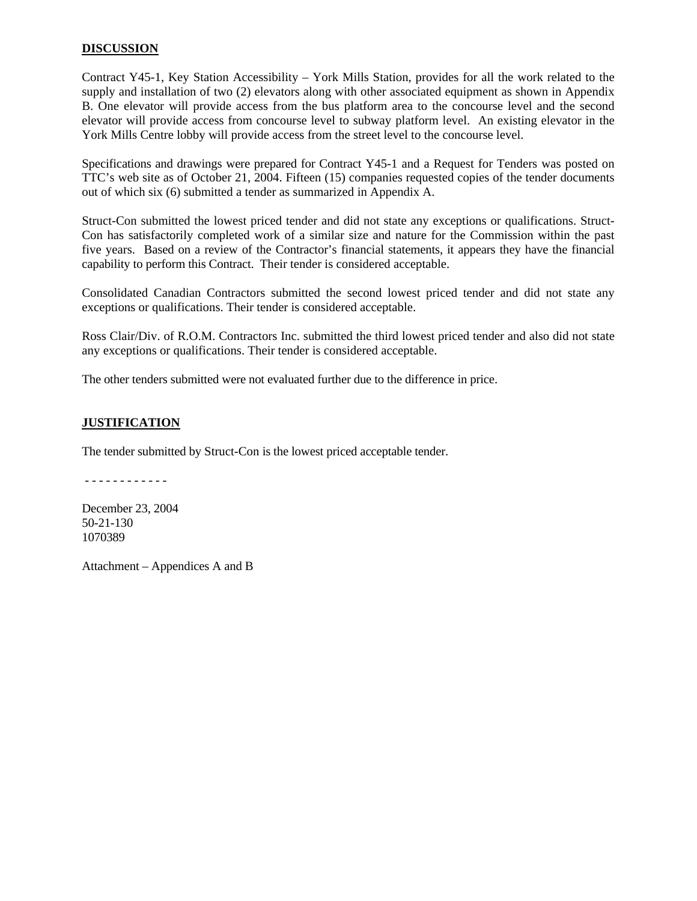### **DISCUSSION**

Contract Y45-1, Key Station Accessibility – York Mills Station, provides for all the work related to the supply and installation of two (2) elevators along with other associated equipment as shown in Appendix B. One elevator will provide access from the bus platform area to the concourse level and the second elevator will provide access from concourse level to subway platform level. An existing elevator in the York Mills Centre lobby will provide access from the street level to the concourse level.

Specifications and drawings were prepared for Contract Y45-1 and a Request for Tenders was posted on TTC's web site as of October 21, 2004. Fifteen (15) companies requested copies of the tender documents out of which six (6) submitted a tender as summarized in Appendix A.

Struct-Con submitted the lowest priced tender and did not state any exceptions or qualifications. Struct-Con has satisfactorily completed work of a similar size and nature for the Commission within the past five years. Based on a review of the Contractor's financial statements, it appears they have the financial capability to perform this Contract. Their tender is considered acceptable.

Consolidated Canadian Contractors submitted the second lowest priced tender and did not state any exceptions or qualifications. Their tender is considered acceptable.

Ross Clair/Div. of R.O.M. Contractors Inc. submitted the third lowest priced tender and also did not state any exceptions or qualifications. Their tender is considered acceptable.

The other tenders submitted were not evaluated further due to the difference in price.

### **JUSTIFICATION**

The tender submitted by Struct-Con is the lowest priced acceptable tender.

- - - - - - - - - - - -

December 23, 2004 50-21-130 1070389

Attachment – Appendices A and B